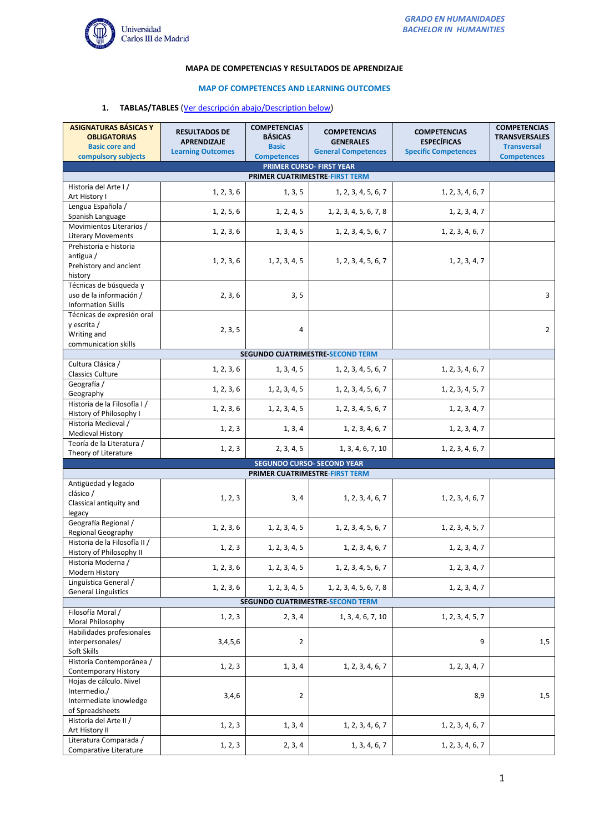

#### **MAPA DE COMPETENCIAS Y RESULTADOS DE APRENDIZAJE**

## **MAP OF COMPETENCES AND LEARNING OUTCOMES**

# **1. TABLAS/TABLES** (Ver descripción abajo/Description below)

| <b>ASIGNATURAS BÁSICAS Y</b><br><b>OBLIGATORIAS</b><br><b>Basic core and</b>         | <b>RESULTADOS DE</b><br><b>APRENDIZAJE</b> | <b>COMPETENCIAS</b><br><b>BÁSICAS</b><br><b>Basic</b> | <b>COMPETENCIAS</b><br><b>GENERALES</b> | <b>COMPETENCIAS</b><br><b>ESPECÍFICAS</b> | <b>COMPETENCIAS</b><br><b>TRANSVERSALES</b><br><b>Transversal</b> |  |  |  |
|--------------------------------------------------------------------------------------|--------------------------------------------|-------------------------------------------------------|-----------------------------------------|-------------------------------------------|-------------------------------------------------------------------|--|--|--|
| compulsory subjects                                                                  | <b>Learning Outcomes</b>                   | <b>Competences</b>                                    | <b>General Competences</b>              | <b>Specific Competences</b>               | <b>Competences</b>                                                |  |  |  |
| PRIMER CURSO- FIRST YEAR                                                             |                                            |                                                       |                                         |                                           |                                                                   |  |  |  |
| PRIMER CUATRIMESTRE-FIRST TERM                                                       |                                            |                                                       |                                         |                                           |                                                                   |  |  |  |
| Historia del Arte I/<br>Art History I                                                | 1, 2, 3, 6                                 | 1, 3, 5                                               | 1, 2, 3, 4, 5, 6, 7                     | 1, 2, 3, 4, 6, 7                          |                                                                   |  |  |  |
| Lengua Española /<br>Spanish Language                                                | 1, 2, 5, 6                                 | 1, 2, 4, 5                                            | 1, 2, 3, 4, 5, 6, 7, 8                  | 1, 2, 3, 4, 7                             |                                                                   |  |  |  |
| Movimientos Literarios /<br><b>Literary Movements</b>                                | 1, 2, 3, 6                                 | 1, 3, 4, 5                                            | 1, 2, 3, 4, 5, 6, 7                     | 1, 2, 3, 4, 6, 7                          |                                                                   |  |  |  |
| Prehistoria e historia<br>antigua /<br>Prehistory and ancient<br>history             | 1, 2, 3, 6                                 | 1, 2, 3, 4, 5                                         | 1, 2, 3, 4, 5, 6, 7                     | 1, 2, 3, 4, 7                             |                                                                   |  |  |  |
| Técnicas de búsqueda y<br>uso de la información /<br><b>Information Skills</b>       | 2, 3, 6                                    | 3, 5                                                  |                                         |                                           | 3                                                                 |  |  |  |
| Técnicas de expresión oral<br>y escrita /<br>Writing and<br>communication skills     | 2, 3, 5                                    | $\overline{4}$                                        |                                         |                                           | $\overline{2}$                                                    |  |  |  |
|                                                                                      |                                            |                                                       | SEGUNDO CUATRIMESTRE-SECOND TERM        |                                           |                                                                   |  |  |  |
| Cultura Clásica /<br><b>Classics Culture</b>                                         | 1, 2, 3, 6                                 | 1, 3, 4, 5                                            | 1, 2, 3, 4, 5, 6, 7                     | 1, 2, 3, 4, 6, 7                          |                                                                   |  |  |  |
| Geografía /<br>Geography                                                             | 1, 2, 3, 6                                 | 1, 2, 3, 4, 5                                         | 1, 2, 3, 4, 5, 6, 7                     | 1, 2, 3, 4, 5, 7                          |                                                                   |  |  |  |
| Historia de la Filosofía I /<br>History of Philosophy I                              | 1, 2, 3, 6                                 | 1, 2, 3, 4, 5                                         | 1, 2, 3, 4, 5, 6, 7                     | 1, 2, 3, 4, 7                             |                                                                   |  |  |  |
| Historia Medieval /<br><b>Medieval History</b>                                       | 1, 2, 3                                    | 1, 3, 4                                               | 1, 2, 3, 4, 6, 7                        | 1, 2, 3, 4, 7                             |                                                                   |  |  |  |
| Teoría de la Literatura /<br>Theory of Literature                                    | 1, 2, 3                                    | 2, 3, 4, 5                                            | 1, 3, 4, 6, 7, 10                       | 1, 2, 3, 4, 6, 7                          |                                                                   |  |  |  |
| <b>SEGUNDO CURSO- SECOND YEAR</b>                                                    |                                            |                                                       |                                         |                                           |                                                                   |  |  |  |
|                                                                                      |                                            |                                                       | PRIMER CUATRIMESTRE-FIRST TERM          |                                           |                                                                   |  |  |  |
| Antigüedad y legado<br>clásico /<br>Classical antiquity and<br>legacy                | 1, 2, 3                                    | 3, 4                                                  | 1, 2, 3, 4, 6, 7                        | 1, 2, 3, 4, 6, 7                          |                                                                   |  |  |  |
| Geografía Regional /<br>Regional Geography                                           | 1, 2, 3, 6                                 | 1, 2, 3, 4, 5                                         | 1, 2, 3, 4, 5, 6, 7                     | 1, 2, 3, 4, 5, 7                          |                                                                   |  |  |  |
| Historia de la Filosofía II /<br>History of Philosophy II                            | 1, 2, 3                                    | 1, 2, 3, 4, 5                                         | 1, 2, 3, 4, 6, 7                        | 1, 2, 3, 4, 7                             |                                                                   |  |  |  |
| Historia Moderna /<br>Modern History                                                 | 1, 2, 3, 6                                 | 1, 2, 3, 4, 5                                         | 1, 2, 3, 4, 5, 6, 7                     | 1, 2, 3, 4, 7                             |                                                                   |  |  |  |
| Lingüística General /<br><b>General Linguistics</b>                                  | 1, 2, 3, 6                                 | 1, 2, 3, 4, 5                                         | 1, 2, 3, 4, 5, 6, 7, 8                  | 1, 2, 3, 4, 7                             |                                                                   |  |  |  |
| SEGUNDO CUATRIMESTRE SECOND TERM                                                     |                                            |                                                       |                                         |                                           |                                                                   |  |  |  |
| Filosofía Moral /<br>Moral Philosophy                                                | 1, 2, 3                                    | 2, 3, 4                                               | 1, 3, 4, 6, 7, 10                       | 1, 2, 3, 4, 5, 7                          |                                                                   |  |  |  |
| Habilidades profesionales<br>interpersonales/<br>Soft Skills                         | 3,4,5,6                                    | $\overline{2}$                                        |                                         | 9                                         | 1,5                                                               |  |  |  |
| Historia Contemporánea /<br><b>Contemporary History</b>                              | 1, 2, 3                                    | 1, 3, 4                                               | 1, 2, 3, 4, 6, 7                        | 1, 2, 3, 4, 7                             |                                                                   |  |  |  |
| Hojas de cálculo. Nivel<br>Intermedio./<br>Intermediate knowledge<br>of Spreadsheets | 3,4,6                                      | $\overline{2}$                                        |                                         | 8,9                                       | 1,5                                                               |  |  |  |
| Historia del Arte II /<br>Art History II                                             | 1, 2, 3                                    | 1, 3, 4                                               | 1, 2, 3, 4, 6, 7                        | 1, 2, 3, 4, 6, 7                          |                                                                   |  |  |  |
| Literatura Comparada /<br>Comparative Literature                                     | 1, 2, 3                                    | 2, 3, 4                                               | 1, 3, 4, 6, 7                           | 1, 2, 3, 4, 6, 7                          |                                                                   |  |  |  |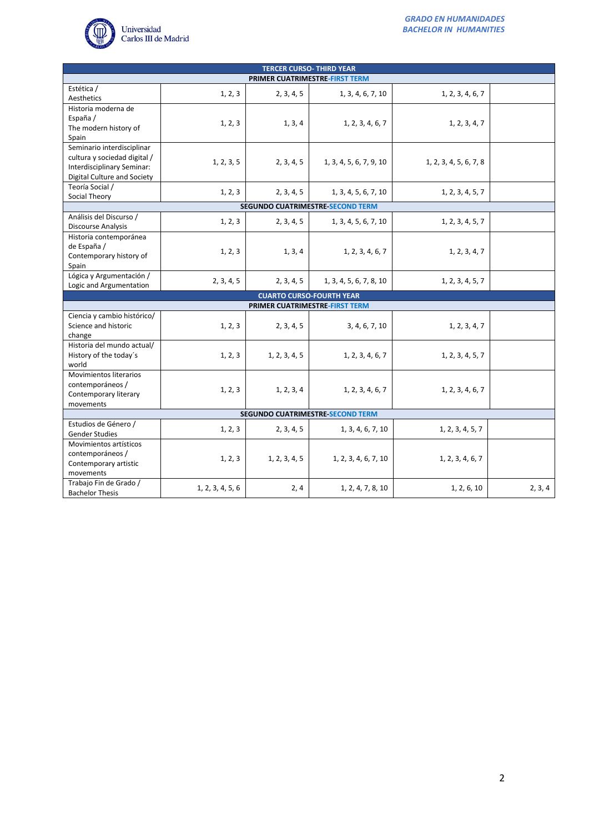

| <b>TERCER CURSO- THIRD YEAR</b>                                                                                         |                                 |                                |                                         |                        |         |  |  |  |
|-------------------------------------------------------------------------------------------------------------------------|---------------------------------|--------------------------------|-----------------------------------------|------------------------|---------|--|--|--|
| PRIMER CUATRIMESTRE-FIRST TERM                                                                                          |                                 |                                |                                         |                        |         |  |  |  |
| Estética /<br>Aesthetics                                                                                                | 1, 2, 3                         | 2, 3, 4, 5                     | 1, 3, 4, 6, 7, 10                       | 1, 2, 3, 4, 6, 7       |         |  |  |  |
| Historia moderna de<br>España /<br>The modern history of<br>Spain                                                       | 1, 2, 3                         | 1, 3, 4                        | 1, 2, 3, 4, 6, 7                        | 1, 2, 3, 4, 7          |         |  |  |  |
| Seminario interdisciplinar<br>cultura y sociedad digital /<br>Interdisciplinary Seminar:<br>Digital Culture and Society | 1, 2, 3, 5                      | 2, 3, 4, 5                     | 1, 3, 4, 5, 6, 7, 9, 10                 | 1, 2, 3, 4, 5, 6, 7, 8 |         |  |  |  |
| Teoría Social /<br>Social Theory                                                                                        | 1, 2, 3                         | 2, 3, 4, 5                     | 1, 3, 4, 5, 6, 7, 10                    | 1, 2, 3, 4, 5, 7       |         |  |  |  |
|                                                                                                                         |                                 |                                | <b>SEGUNDO CUATRIMESTRE-SECOND TERM</b> |                        |         |  |  |  |
| Análisis del Discurso /<br><b>Discourse Analysis</b>                                                                    | 1, 2, 3                         | 2, 3, 4, 5                     | 1, 3, 4, 5, 6, 7, 10                    | 1, 2, 3, 4, 5, 7       |         |  |  |  |
| Historia contemporánea<br>de España /<br>Contemporary history of<br>Spain                                               | 1, 2, 3                         | 1, 3, 4                        | 1, 2, 3, 4, 6, 7                        | 1, 2, 3, 4, 7          |         |  |  |  |
| Lógica y Argumentación /<br>Logic and Argumentation                                                                     | 2, 3, 4, 5                      | 2, 3, 4, 5                     | 1, 3, 4, 5, 6, 7, 8, 10                 | 1, 2, 3, 4, 5, 7       |         |  |  |  |
|                                                                                                                         | <b>CUARTO CURSO-FOURTH YEAR</b> |                                |                                         |                        |         |  |  |  |
|                                                                                                                         |                                 | PRIMER CUATRIMESTRE-FIRST TERM |                                         |                        |         |  |  |  |
| Ciencia y cambio histórico/<br>Science and historic<br>change                                                           | 1, 2, 3                         | 2, 3, 4, 5                     | 3, 4, 6, 7, 10                          | 1, 2, 3, 4, 7          |         |  |  |  |
| Historia del mundo actual/<br>History of the today's<br>world                                                           | 1, 2, 3                         | 1, 2, 3, 4, 5                  | 1, 2, 3, 4, 6, 7                        | 1, 2, 3, 4, 5, 7       |         |  |  |  |
| Movimientos literarios<br>contemporáneos /<br>Contemporary literary<br>movements                                        | 1, 2, 3                         | 1, 2, 3, 4                     | 1, 2, 3, 4, 6, 7                        | 1, 2, 3, 4, 6, 7       |         |  |  |  |
| <b>SEGUNDO CUATRIMESTRE-SECOND TERM</b>                                                                                 |                                 |                                |                                         |                        |         |  |  |  |
| Estudios de Género /<br><b>Gender Studies</b>                                                                           | 1, 2, 3                         | 2, 3, 4, 5                     | 1, 3, 4, 6, 7, 10                       | 1, 2, 3, 4, 5, 7       |         |  |  |  |
| Movimientos artísticos<br>contemporáneos /<br>Contemporary artistic<br>movements                                        | 1, 2, 3                         | 1, 2, 3, 4, 5                  | 1, 2, 3, 4, 6, 7, 10                    | 1, 2, 3, 4, 6, 7       |         |  |  |  |
| Trabajo Fin de Grado /<br><b>Bachelor Thesis</b>                                                                        | 1, 2, 3, 4, 5, 6                | 2, 4                           | 1, 2, 4, 7, 8, 10                       | 1, 2, 6, 10            | 2, 3, 4 |  |  |  |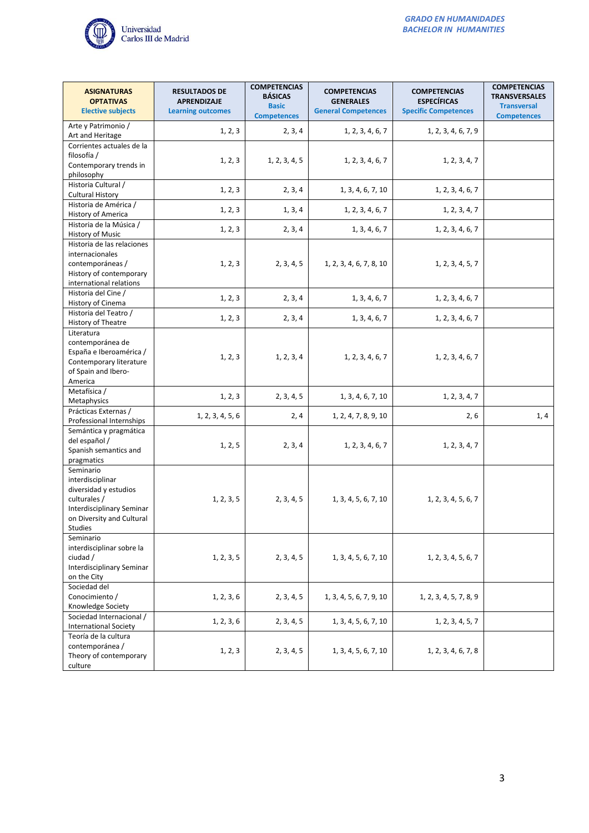

| <b>ASIGNATURAS</b><br><b>OPTATIVAS</b><br><b>Elective subjects</b>                                                                                 | <b>RESULTADOS DE</b><br><b>APRENDIZAJE</b><br><b>Learning outcomes</b> | <b>COMPETENCIAS</b><br><b>BÁSICAS</b><br><b>Basic</b><br><b>Competences</b> | <b>COMPETENCIAS</b><br><b>GENERALES</b><br><b>General Competences</b> | <b>COMPETENCIAS</b><br><b>ESPECÍFICAS</b><br><b>Specific Competences</b> | <b>COMPETENCIAS</b><br><b>TRANSVERSALES</b><br><b>Transversal</b><br><b>Competences</b> |
|----------------------------------------------------------------------------------------------------------------------------------------------------|------------------------------------------------------------------------|-----------------------------------------------------------------------------|-----------------------------------------------------------------------|--------------------------------------------------------------------------|-----------------------------------------------------------------------------------------|
| Arte y Patrimonio /<br>Art and Heritage                                                                                                            | 1, 2, 3                                                                | 2, 3, 4                                                                     | 1, 2, 3, 4, 6, 7                                                      | 1, 2, 3, 4, 6, 7, 9                                                      |                                                                                         |
| Corrientes actuales de la<br>filosofía /<br>Contemporary trends in<br>philosophy                                                                   | 1, 2, 3                                                                | 1, 2, 3, 4, 5                                                               | 1, 2, 3, 4, 6, 7                                                      | 1, 2, 3, 4, 7                                                            |                                                                                         |
| Historia Cultural /<br><b>Cultural History</b>                                                                                                     | 1, 2, 3                                                                | 2, 3, 4                                                                     | 1, 3, 4, 6, 7, 10                                                     | 1, 2, 3, 4, 6, 7                                                         |                                                                                         |
| Historia de América /<br>History of America                                                                                                        | 1, 2, 3                                                                | 1, 3, 4                                                                     | 1, 2, 3, 4, 6, 7                                                      | 1, 2, 3, 4, 7                                                            |                                                                                         |
| Historia de la Música /<br><b>History of Music</b>                                                                                                 | 1, 2, 3                                                                | 2, 3, 4                                                                     | 1, 3, 4, 6, 7                                                         | 1, 2, 3, 4, 6, 7                                                         |                                                                                         |
| Historia de las relaciones<br>internacionales<br>contemporáneas /<br>History of contemporary<br>international relations                            | 1, 2, 3                                                                | 2, 3, 4, 5                                                                  | 1, 2, 3, 4, 6, 7, 8, 10                                               | 1, 2, 3, 4, 5, 7                                                         |                                                                                         |
| Historia del Cine /<br>History of Cinema                                                                                                           | 1, 2, 3                                                                | 2, 3, 4                                                                     | 1, 3, 4, 6, 7                                                         | 1, 2, 3, 4, 6, 7                                                         |                                                                                         |
| Historia del Teatro /<br>History of Theatre                                                                                                        | 1, 2, 3                                                                | 2, 3, 4                                                                     | 1, 3, 4, 6, 7                                                         | 1, 2, 3, 4, 6, 7                                                         |                                                                                         |
| Literatura<br>contemporánea de<br>España e Iberoamérica /<br>Contemporary literature<br>of Spain and Ibero-<br>America                             | 1, 2, 3                                                                | 1, 2, 3, 4                                                                  | 1, 2, 3, 4, 6, 7                                                      | 1, 2, 3, 4, 6, 7                                                         |                                                                                         |
| Metafísica /<br>Metaphysics                                                                                                                        | 1, 2, 3                                                                | 2, 3, 4, 5                                                                  | 1, 3, 4, 6, 7, 10                                                     | 1, 2, 3, 4, 7                                                            |                                                                                         |
| Prácticas Externas /<br>Professional Internships                                                                                                   | 1, 2, 3, 4, 5, 6                                                       | 2, 4                                                                        | 1, 2, 4, 7, 8, 9, 10                                                  | 2, 6                                                                     | 1,4                                                                                     |
| Semántica y pragmática<br>del español /<br>Spanish semantics and<br>pragmatics                                                                     | 1, 2, 5                                                                | 2, 3, 4                                                                     | 1, 2, 3, 4, 6, 7                                                      | 1, 2, 3, 4, 7                                                            |                                                                                         |
| Seminario<br>interdisciplinar<br>diversidad y estudios<br>culturales /<br><b>Interdisciplinary Seminar</b><br>on Diversity and Cultural<br>Studies | 1, 2, 3, 5                                                             | 2, 3, 4, 5                                                                  | 1, 3, 4, 5, 6, 7, 10                                                  | 1, 2, 3, 4, 5, 6, 7                                                      |                                                                                         |
| Seminario<br>interdisciplinar sobre la<br>ciudad /<br>Interdisciplinary Seminar<br>on the City                                                     | 1, 2, 3, 5                                                             | 2, 3, 4, 5                                                                  | 1, 3, 4, 5, 6, 7, 10                                                  | 1, 2, 3, 4, 5, 6, 7                                                      |                                                                                         |
| Sociedad del<br>Conocimiento /<br>Knowledge Society                                                                                                | 1, 2, 3, 6                                                             | 2, 3, 4, 5                                                                  | 1, 3, 4, 5, 6, 7, 9, 10                                               | 1, 2, 3, 4, 5, 7, 8, 9                                                   |                                                                                         |
| Sociedad Internacional /<br><b>International Society</b>                                                                                           | 1, 2, 3, 6                                                             | 2, 3, 4, 5                                                                  | 1, 3, 4, 5, 6, 7, 10                                                  | 1, 2, 3, 4, 5, 7                                                         |                                                                                         |
| Teoría de la cultura<br>contemporánea /<br>Theory of contemporary<br>culture                                                                       | 1, 2, 3                                                                | 2, 3, 4, 5                                                                  | 1, 3, 4, 5, 6, 7, 10                                                  | 1, 2, 3, 4, 6, 7, 8                                                      |                                                                                         |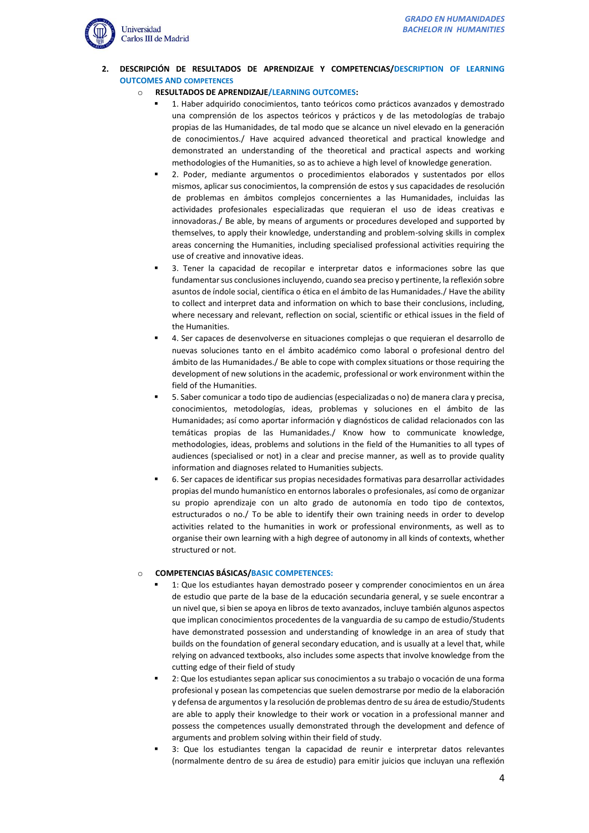

- **2. DESCRIPCIÓN DE RESULTADOS DE APRENDIZAJE Y COMPETENCIAS/DESCRIPTION OF LEARNING OUTCOMES AND COMPETENCES**
	- o **RESULTADOS DE APRENDIZAJE/LEARNING OUTCOMES:**
		- 1. Haber adquirido conocimientos, tanto teóricos como prácticos avanzados y demostrado una comprensión de los aspectos teóricos y prácticos y de las metodologías de trabajo propias de las Humanidades, de tal modo que se alcance un nivel elevado en la generación de conocimientos./ Have acquired advanced theoretical and practical knowledge and demonstrated an understanding of the theoretical and practical aspects and working methodologies of the Humanities, so as to achieve a high level of knowledge generation.
		- 2. Poder, mediante argumentos o procedimientos elaborados y sustentados por ellos mismos, aplicar sus conocimientos, la comprensión de estos y sus capacidades de resolución de problemas en ámbitos complejos concernientes a las Humanidades, incluidas las actividades profesionales especializadas que requieran el uso de ideas creativas e innovadoras./ Be able, by means of arguments or procedures developed and supported by themselves, to apply their knowledge, understanding and problem-solving skills in complex areas concerning the Humanities, including specialised professional activities requiring the use of creative and innovative ideas.
		- 3. Tener la capacidad de recopilar e interpretar datos e informaciones sobre las que fundamentar sus conclusiones incluyendo, cuando sea preciso y pertinente, la reflexión sobre asuntos de índole social, científica o ética en el ámbito de las Humanidades./ Have the ability to collect and interpret data and information on which to base their conclusions, including, where necessary and relevant, reflection on social, scientific or ethical issues in the field of the Humanities.
		- 4. Ser capaces de desenvolverse en situaciones complejas o que requieran el desarrollo de nuevas soluciones tanto en el ámbito académico como laboral o profesional dentro del ámbito de las Humanidades./ Be able to cope with complex situations or those requiring the development of new solutions in the academic, professional or work environment within the field of the Humanities.
		- 5. Saber comunicar a todo tipo de audiencias (especializadas o no) de manera clara y precisa, conocimientos, metodologías, ideas, problemas y soluciones en el ámbito de las Humanidades; así como aportar información y diagnósticos de calidad relacionados con las temáticas propias de las Humanidades./ Know how to communicate knowledge, methodologies, ideas, problems and solutions in the field of the Humanities to all types of audiences (specialised or not) in a clear and precise manner, as well as to provide quality information and diagnoses related to Humanities subjects.
		- 6. Ser capaces de identificar sus propias necesidades formativas para desarrollar actividades propias del mundo humanístico en entornos laborales o profesionales, así como de organizar su propio aprendizaje con un alto grado de autonomía en todo tipo de contextos, estructurados o no./ To be able to identify their own training needs in order to develop activities related to the humanities in work or professional environments, as well as to organise their own learning with a high degree of autonomy in all kinds of contexts, whether structured or not.

#### o **COMPETENCIAS BÁSICAS/BASIC COMPETENCES:**

- 1: Que los estudiantes hayan demostrado poseer y comprender conocimientos en un área de estudio que parte de la base de la educación secundaria general, y se suele encontrar a un nivel que, si bien se apoya en libros de texto avanzados, incluye también algunos aspectos que implican conocimientos procedentes de la vanguardia de su campo de estudio/Students have demonstrated possession and understanding of knowledge in an area of study that builds on the foundation of general secondary education, and is usually at a level that, while relying on advanced textbooks, also includes some aspects that involve knowledge from the cutting edge of their field of study
- 2: Que los estudiantes sepan aplicar sus conocimientos a su trabajo o vocación de una forma profesional y posean las competencias que suelen demostrarse por medio de la elaboración y defensa de argumentos y la resolución de problemas dentro de su área de estudio/Students are able to apply their knowledge to their work or vocation in a professional manner and possess the competences usually demonstrated through the development and defence of arguments and problem solving within their field of study.
- 3: Que los estudiantes tengan la capacidad de reunir e interpretar datos relevantes (normalmente dentro de su área de estudio) para emitir juicios que incluyan una reflexión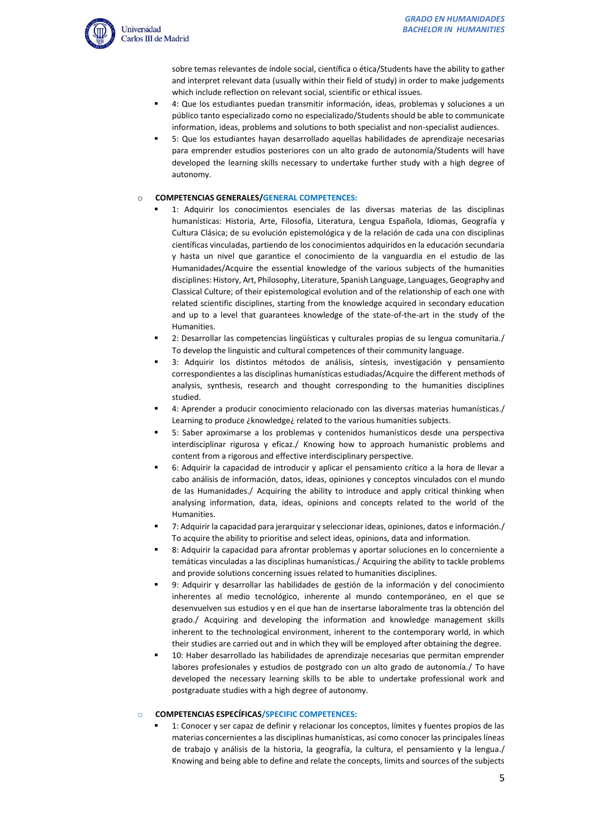

sobre temas relevantes de índole social, científica o ética/Students have the ability to gather and interpret relevant data (usually within their field of study) in order to make judgements which include reflection on relevant social, scientific or ethical issues.

- 4: Que los estudiantes puedan transmitir información, ideas, problemas y soluciones a un público tanto especializado como no especializado/Students should be able to communicate information, ideas, problems and solutions to both specialist and non-specialist audiences.
- 5: Que los estudiantes hayan desarrollado aquellas habilidades de aprendizaje necesarias para emprender estudios posteriores con un alto grado de autonomía/Students will have developed the learning skills necessary to undertake further study with a high degree of autonomy.

### o **COMPETENCIAS GENERALES/GENERAL COMPETENCES:**

- 1: Adquirir los conocimientos esenciales de las diversas materias de las disciplinas humanísticas: Historia, Arte, Filosofía, Literatura, Lengua Española, Idiomas, Geografía y Cultura Clásica; de su evolución epistemológica y de la relación de cada una con disciplinas científicas vinculadas, partiendo de los conocimientos adquiridos en la educación secundaria y hasta un nivel que garantice el conocimiento de la vanguardia en el estudio de las Humanidades/Acquire the essential knowledge of the various subjects of the humanities disciplines: History, Art, Philosophy, Literature, Spanish Language, Languages, Geography and Classical Culture; of their epistemological evolution and of the relationship of each one with related scientific disciplines, starting from the knowledge acquired in secondary education and up to a level that guarantees knowledge of the state-of-the-art in the study of the Humanities.
- 2: Desarrollar las competencias lingüísticas y culturales propias de su lengua comunitaria./ To develop the linguistic and cultural competences of their community language.
- 3: Adquirir los distintos métodos de análisis, síntesis, investigación y pensamiento correspondientes a las disciplinas humanísticas estudiadas/Acquire the different methods of analysis, synthesis, research and thought corresponding to the humanities disciplines studied.
- 4: Aprender a producir conocimiento relacionado con las diversas materias humanísticas./ Learning to produce ¿knowledge¿ related to the various humanities subjects.
- 5: Saber aproximarse a los problemas y contenidos humanísticos desde una perspectiva interdisciplinar rigurosa y eficaz./ Knowing how to approach humanistic problems and content from a rigorous and effective interdisciplinary perspective.
- 6: Adquirir la capacidad de introducir y aplicar el pensamiento crítico a la hora de llevar a cabo análisis de información, datos, ideas, opiniones y conceptos vinculados con el mundo de las Humanidades./ Acquiring the ability to introduce and apply critical thinking when analysing information, data, ideas, opinions and concepts related to the world of the Humanities.
- 7: Adquirir la capacidad para jerarquizar y seleccionar ideas, opiniones, datos e información./ To acquire the ability to prioritise and select ideas, opinions, data and information.
- 8: Adquirir la capacidad para afrontar problemas y aportar soluciones en lo concerniente a temáticas vinculadas a las disciplinas humanísticas./ Acquiring the ability to tackle problems and provide solutions concerning issues related to humanities disciplines.
- 9: Adquirir y desarrollar las habilidades de gestión de la información y del conocimiento inherentes al medio tecnológico, inherente al mundo contemporáneo, en el que se desenvuelven sus estudios y en el que han de insertarse laboralmente tras la obtención del grado./ Acquiring and developing the information and knowledge management skills inherent to the technological environment, inherent to the contemporary world, in which their studies are carried out and in which they will be employed after obtaining the degree.
- 10: Haber desarrollado las habilidades de aprendizaje necesarias que permitan emprender labores profesionales y estudios de postgrado con un alto grado de autonomía./ To have developed the necessary learning skills to be able to undertake professional work and postgraduate studies with a high degree of autonomy.

#### o **COMPETENCIAS ESPECÍFICAS/SPECIFIC COMPETENCES:**

1: Conocer y ser capaz de definir y relacionar los conceptos, límites y fuentes propios de las materias concernientes a las disciplinas humanísticas, así como conocer las principales líneas de trabajo y análisis de la historia, la geografía, la cultura, el pensamiento y la lengua./ Knowing and being able to define and relate the concepts, limits and sources of the subjects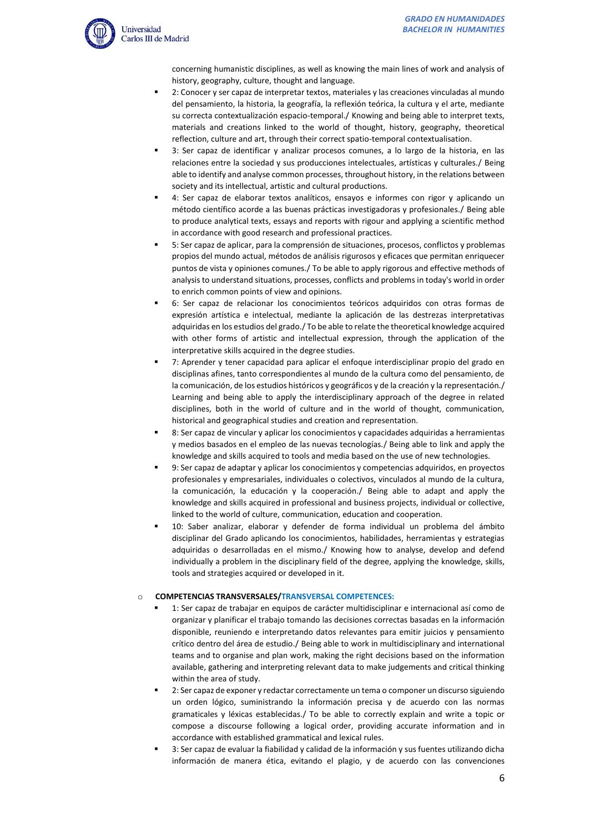

concerning humanistic disciplines, as well as knowing the main lines of work and analysis of history, geography, culture, thought and language.

- 2: Conocer y ser capaz de interpretar textos, materiales y las creaciones vinculadas al mundo del pensamiento, la historia, la geografía, la reflexión teórica, la cultura y el arte, mediante su correcta contextualización espacio-temporal./ Knowing and being able to interpret texts, materials and creations linked to the world of thought, history, geography, theoretical reflection, culture and art, through their correct spatio-temporal contextualisation.
- 3: Ser capaz de identificar y analizar procesos comunes, a lo largo de la historia, en las relaciones entre la sociedad y sus producciones intelectuales, artísticas y culturales./ Being able to identify and analyse common processes, throughout history, in the relations between society and its intellectual, artistic and cultural productions.
- 4: Ser capaz de elaborar textos analíticos, ensayos e informes con rigor y aplicando un método científico acorde a las buenas prácticas investigadoras y profesionales./ Being able to produce analytical texts, essays and reports with rigour and applying a scientific method in accordance with good research and professional practices.
- 5: Ser capaz de aplicar, para la comprensión de situaciones, procesos, conflictos y problemas propios del mundo actual, métodos de análisis rigurosos y eficaces que permitan enriquecer puntos de vista y opiniones comunes./ To be able to apply rigorous and effective methods of analysis to understand situations, processes, conflicts and problems in today's world in order to enrich common points of view and opinions.
- 6: Ser capaz de relacionar los conocimientos teóricos adquiridos con otras formas de expresión artística e intelectual, mediante la aplicación de las destrezas interpretativas adquiridas en los estudios del grado./ To be able to relate the theoretical knowledge acquired with other forms of artistic and intellectual expression, through the application of the interpretative skills acquired in the degree studies.
- 7: Aprender y tener capacidad para aplicar el enfoque interdisciplinar propio del grado en disciplinas afines, tanto correspondientes al mundo de la cultura como del pensamiento, de la comunicación, de los estudios históricos y geográficos y de la creación y la representación./ Learning and being able to apply the interdisciplinary approach of the degree in related disciplines, both in the world of culture and in the world of thought, communication, historical and geographical studies and creation and representation.
- 8: Ser capaz de vincular y aplicar los conocimientos y capacidades adquiridas a herramientas y medios basados en el empleo de las nuevas tecnologías./ Being able to link and apply the knowledge and skills acquired to tools and media based on the use of new technologies.
- 9: Ser capaz de adaptar y aplicar los conocimientos y competencias adquiridos, en proyectos profesionales y empresariales, individuales o colectivos, vinculados al mundo de la cultura, la comunicación, la educación y la cooperación./ Being able to adapt and apply the knowledge and skills acquired in professional and business projects, individual or collective, linked to the world of culture, communication, education and cooperation.
- 10: Saber analizar, elaborar y defender de forma individual un problema del ámbito disciplinar del Grado aplicando los conocimientos, habilidades, herramientas y estrategias adquiridas o desarrolladas en el mismo./ Knowing how to analyse, develop and defend individually a problem in the disciplinary field of the degree, applying the knowledge, skills, tools and strategies acquired or developed in it.

# o **COMPETENCIAS TRANSVERSALES/TRANSVERSAL COMPETENCES:**

- 1: Ser capaz de trabajar en equipos de carácter multidisciplinar e internacional así como de organizar y planificar el trabajo tomando las decisiones correctas basadas en la información disponible, reuniendo e interpretando datos relevantes para emitir juicios y pensamiento crítico dentro del área de estudio./ Being able to work in multidisciplinary and international teams and to organise and plan work, making the right decisions based on the information available, gathering and interpreting relevant data to make judgements and critical thinking within the area of study.
- 2: Ser capaz de exponer y redactar correctamente un tema o componer un discurso siguiendo un orden lógico, suministrando la información precisa y de acuerdo con las normas gramaticales y léxicas establecidas./ To be able to correctly explain and write a topic or compose a discourse following a logical order, providing accurate information and in accordance with established grammatical and lexical rules.
- 3: Ser capaz de evaluar la fiabilidad y calidad de la información y sus fuentes utilizando dicha información de manera ética, evitando el plagio, y de acuerdo con las convenciones